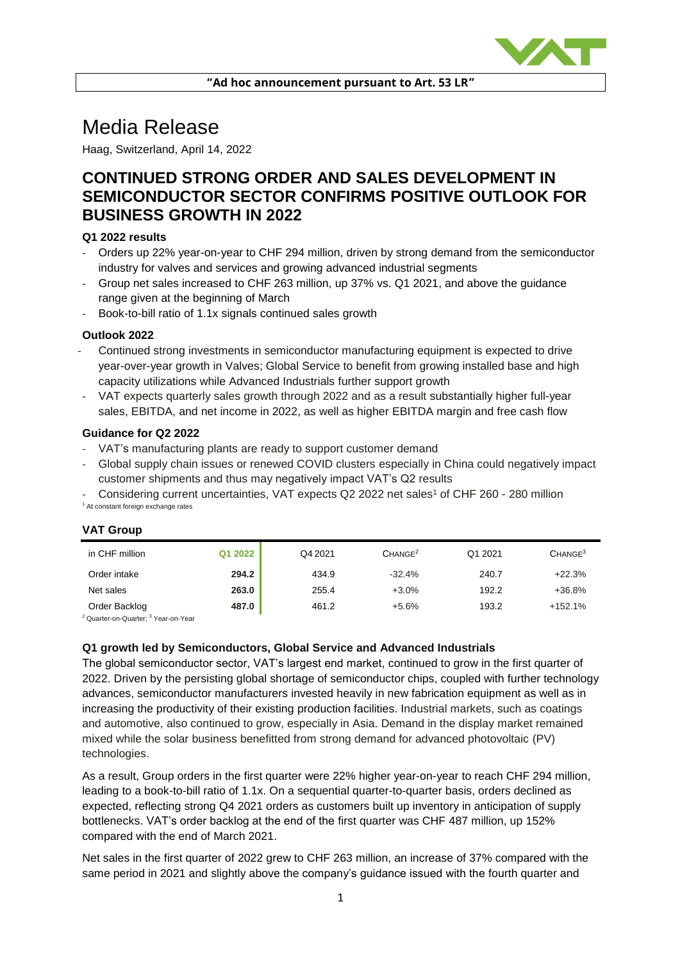

# Media Release

Haag, Switzerland, April 14, 2022

# **CONTINUED STRONG ORDER AND SALES DEVELOPMENT IN SEMICONDUCTOR SECTOR CONFIRMS POSITIVE OUTLOOK FOR BUSINESS GROWTH IN 2022**

### **Q1 2022 results**

- Orders up 22% year-on-year to CHF 294 million, driven by strong demand from the semiconductor industry for valves and services and growing advanced industrial segments
- Group net sales increased to CHF 263 million, up 37% vs. Q1 2021, and above the guidance range given at the beginning of March
- Book-to-bill ratio of 1.1x signals continued sales growth

#### **Outlook 2022**

- Continued strong investments in semiconductor manufacturing equipment is expected to drive year-over-year growth in Valves; Global Service to benefit from growing installed base and high capacity utilizations while Advanced Industrials further support growth
- VAT expects quarterly sales growth through 2022 and as a result substantially higher full-year sales, EBITDA, and net income in 2022, as well as higher EBITDA margin and free cash flow

#### **Guidance for Q2 2022**

- VAT's manufacturing plants are ready to support customer demand
- Global supply chain issues or renewed COVID clusters especially in China could negatively impact customer shipments and thus may negatively impact VAT's Q2 results
- Considering current uncertainties, VAT expects Q2 2022 net sales<sup>1</sup> of CHF 260 280 million <sup>1</sup> At constant foreign exchange rates

| in CHF million                                             | Q1 2022 | Q4 2021 | CHANGE <sup>2</sup> | Q1 2021 | CHANGE <sup>3</sup> |
|------------------------------------------------------------|---------|---------|---------------------|---------|---------------------|
| Order intake                                               | 294.2   | 434.9   | $-32.4%$            | 240.7   | $+22.3%$            |
| Net sales                                                  | 263.0   | 255.4   | $+3.0%$             | 192.2   | $+36.8%$            |
| Order Backlog                                              | 487.0   | 461.2   | $+5.6%$             | 193.2   | $+152.1%$           |
| <sup>2</sup> Quarter-on-Quarter; <sup>3</sup> Year-on-Year |         |         |                     |         |                     |

## **VAT Group**

**Q1 growth led by Semiconductors, Global Service and Advanced Industrials**

The global semiconductor sector, VAT's largest end market, continued to grow in the first quarter of 2022. Driven by the persisting global shortage of semiconductor chips, coupled with further technology advances, semiconductor manufacturers invested heavily in new fabrication equipment as well as in increasing the productivity of their existing production facilities. Industrial markets, such as coatings and automotive, also continued to grow, especially in Asia. Demand in the display market remained mixed while the solar business benefitted from strong demand for advanced photovoltaic (PV) technologies.

As a result, Group orders in the first quarter were 22% higher year-on-year to reach CHF 294 million, leading to a book-to-bill ratio of 1.1x. On a sequential quarter-to-quarter basis, orders declined as expected, reflecting strong Q4 2021 orders as customers built up inventory in anticipation of supply bottlenecks. VAT's order backlog at the end of the first quarter was CHF 487 million, up 152% compared with the end of March 2021.

Net sales in the first quarter of 2022 grew to CHF 263 million, an increase of 37% compared with the same period in 2021 and slightly above the company's guidance issued with the fourth quarter and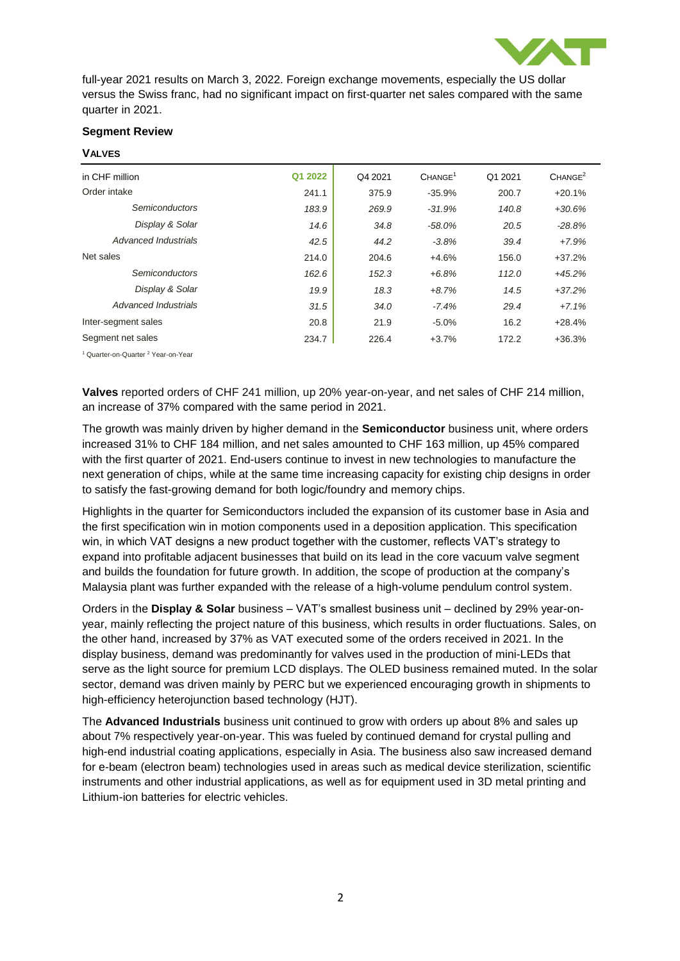

full-year 2021 results on March 3, 2022. Foreign exchange movements, especially the US dollar versus the Swiss franc, had no significant impact on first-quarter net sales compared with the same quarter in 2021.

### **Segment Review**

#### **VALVES**

| in CHF million        | Q1 2022 | Q4 2021 | CHANGE <sup>1</sup> | Q1 2021 | CHANGE <sup>2</sup> |
|-----------------------|---------|---------|---------------------|---------|---------------------|
| Order intake          | 241.1   | 375.9   | $-35.9%$            | 200.7   | $+20.1%$            |
| <b>Semiconductors</b> | 183.9   | 269.9   | $-31.9%$            | 140.8   | $+30.6%$            |
| Display & Solar       | 14.6    | 34.8    | $-58.0\%$           | 20.5    | $-28.8%$            |
| Advanced Industrials  | 42.5    | 44.2    | $-3.8%$             | 39.4    | $+7.9%$             |
| Net sales             | 214.0   | 204.6   | $+4.6%$             | 156.0   | $+37.2%$            |
| <b>Semiconductors</b> | 162.6   | 152.3   | $+6.8%$             | 112.0   | $+45.2%$            |
| Display & Solar       | 19.9    | 18.3    | $+8.7%$             | 14.5    | $+37.2%$            |
| Advanced Industrials  | 31.5    | 34.0    | $-7.4%$             | 29.4    | $+7.1%$             |
| Inter-segment sales   | 20.8    | 21.9    | $-5.0%$             | 16.2    | $+28.4%$            |
| Segment net sales     | 234.7   | 226.4   | $+3.7%$             | 172.2   | $+36.3%$            |
| $10$ $10$             |         |         |                     |         |                     |

Quarter-on-Quarter <sup>2</sup> Year-on-Year

**Valves** reported orders of CHF 241 million, up 20% year-on-year, and net sales of CHF 214 million, an increase of 37% compared with the same period in 2021.

The growth was mainly driven by higher demand in the **Semiconductor** business unit, where orders increased 31% to CHF 184 million, and net sales amounted to CHF 163 million, up 45% compared with the first quarter of 2021. End-users continue to invest in new technologies to manufacture the next generation of chips, while at the same time increasing capacity for existing chip designs in order to satisfy the fast-growing demand for both logic/foundry and memory chips.

Highlights in the quarter for Semiconductors included the expansion of its customer base in Asia and the first specification win in motion components used in a deposition application. This specification win, in which VAT designs a new product together with the customer, reflects VAT's strategy to expand into profitable adjacent businesses that build on its lead in the core vacuum valve segment and builds the foundation for future growth. In addition, the scope of production at the company's Malaysia plant was further expanded with the release of a high-volume pendulum control system.

Orders in the **Display & Solar** business – VAT's smallest business unit – declined by 29% year-onyear, mainly reflecting the project nature of this business, which results in order fluctuations. Sales, on the other hand, increased by 37% as VAT executed some of the orders received in 2021. In the display business, demand was predominantly for valves used in the production of mini-LEDs that serve as the light source for premium LCD displays. The OLED business remained muted. In the solar sector, demand was driven mainly by PERC but we experienced encouraging growth in shipments to high-efficiency heterojunction based technology (HJT).

The **Advanced Industrials** business unit continued to grow with orders up about 8% and sales up about 7% respectively year-on-year. This was fueled by continued demand for crystal pulling and high-end industrial coating applications, especially in Asia. The business also saw increased demand for e-beam (electron beam) technologies used in areas such as medical device sterilization, scientific instruments and other industrial applications, as well as for equipment used in 3D metal printing and Lithium-ion batteries for electric vehicles.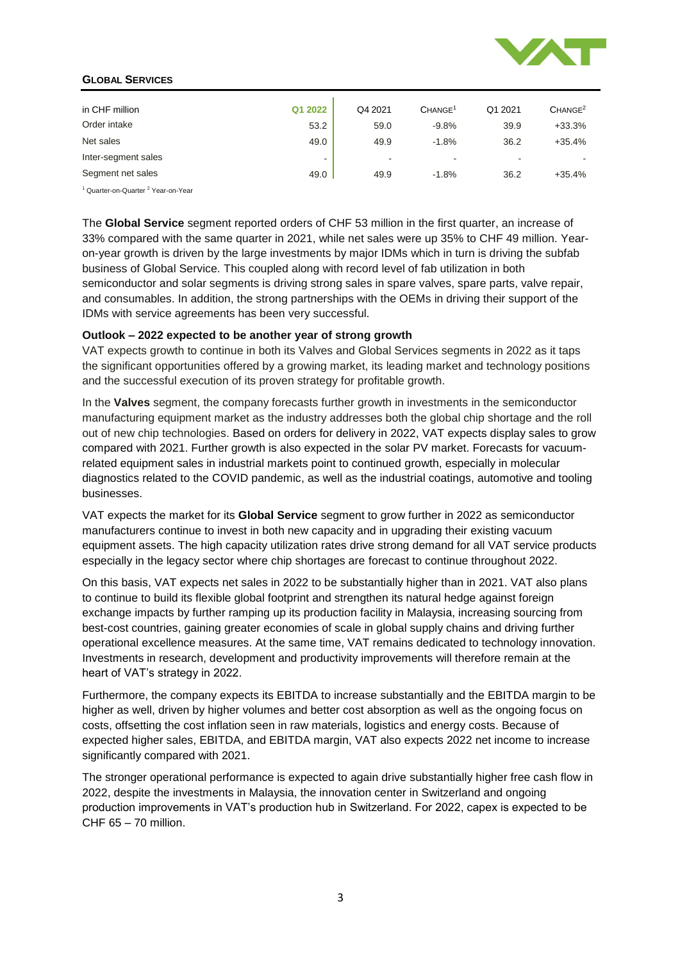

#### **GLOBAL SERVICES**

| in CHF million                                            | Q1 2022 | Q4 2021 | CHANGE <sup>1</sup> | Q1 2021 | CHANGE <sup>2</sup> |
|-----------------------------------------------------------|---------|---------|---------------------|---------|---------------------|
| Order intake                                              | 53.2    | 59.0    | $-9.8%$             | 39.9    | $+33.3%$            |
| Net sales                                                 | 49.0    | 49.9    | $-1.8%$             | 36.2    | $+35.4%$            |
| Inter-segment sales                                       |         |         |                     |         |                     |
| Segment net sales                                         | 49.0    | 49.9    | $-1.8%$             | 36.2    | $+35.4%$            |
| <sup>1</sup> Quarter-on-Quarter <sup>2</sup> Year-on-Year |         |         |                     |         |                     |

The **Global Service** segment reported orders of CHF 53 million in the first quarter, an increase of 33% compared with the same quarter in 2021, while net sales were up 35% to CHF 49 million. Yearon-year growth is driven by the large investments by major IDMs which in turn is driving the subfab business of Global Service. This coupled along with record level of fab utilization in both semiconductor and solar segments is driving strong sales in spare valves, spare parts, valve repair, and consumables. In addition, the strong partnerships with the OEMs in driving their support of the IDMs with service agreements has been very successful.

#### **Outlook – 2022 expected to be another year of strong growth**

VAT expects growth to continue in both its Valves and Global Services segments in 2022 as it taps the significant opportunities offered by a growing market, its leading market and technology positions and the successful execution of its proven strategy for profitable growth.

In the **Valves** segment, the company forecasts further growth in investments in the semiconductor manufacturing equipment market as the industry addresses both the global chip shortage and the roll out of new chip technologies. Based on orders for delivery in 2022, VAT expects display sales to grow compared with 2021. Further growth is also expected in the solar PV market. Forecasts for vacuumrelated equipment sales in industrial markets point to continued growth, especially in molecular diagnostics related to the COVID pandemic, as well as the industrial coatings, automotive and tooling businesses.

VAT expects the market for its **Global Service** segment to grow further in 2022 as semiconductor manufacturers continue to invest in both new capacity and in upgrading their existing vacuum equipment assets. The high capacity utilization rates drive strong demand for all VAT service products especially in the legacy sector where chip shortages are forecast to continue throughout 2022.

On this basis, VAT expects net sales in 2022 to be substantially higher than in 2021. VAT also plans to continue to build its flexible global footprint and strengthen its natural hedge against foreign exchange impacts by further ramping up its production facility in Malaysia, increasing sourcing from best-cost countries, gaining greater economies of scale in global supply chains and driving further operational excellence measures. At the same time, VAT remains dedicated to technology innovation. Investments in research, development and productivity improvements will therefore remain at the heart of VAT's strategy in 2022.

Furthermore, the company expects its EBITDA to increase substantially and the EBITDA margin to be higher as well, driven by higher volumes and better cost absorption as well as the ongoing focus on costs, offsetting the cost inflation seen in raw materials, logistics and energy costs. Because of expected higher sales, EBITDA, and EBITDA margin, VAT also expects 2022 net income to increase significantly compared with 2021.

The stronger operational performance is expected to again drive substantially higher free cash flow in 2022, despite the investments in Malaysia, the innovation center in Switzerland and ongoing production improvements in VAT's production hub in Switzerland. For 2022, capex is expected to be CHF 65 – 70 million.